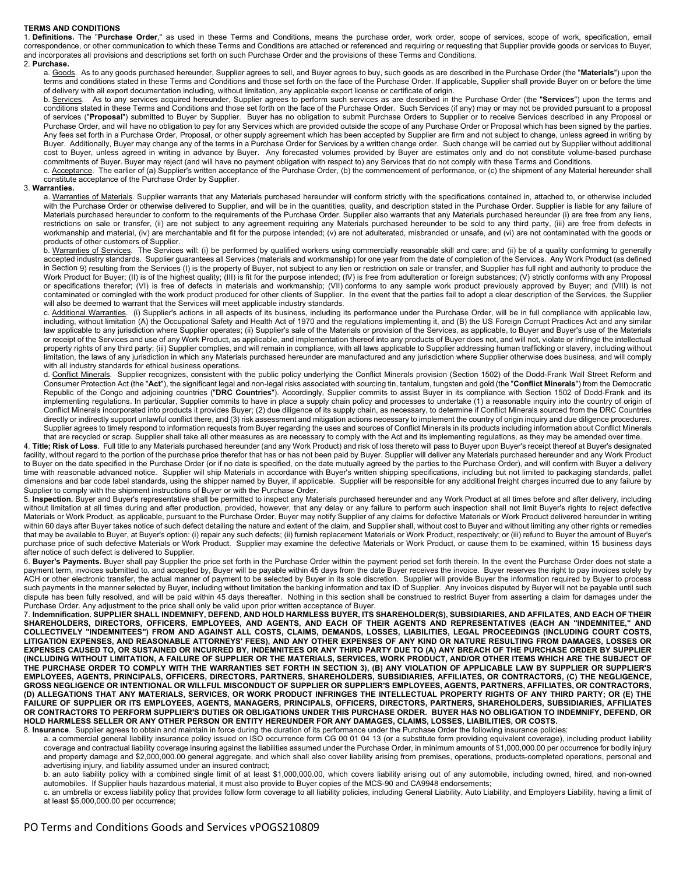## **TERMS AND CONDITIONS**

1. **Definitions.** The "**Purchase Order**," as used in these Terms and Conditions, means the purchase order, work order, scope of services, scope of work, specification, email correspondence, or other communication to which these Terms and Conditions are attached or referenced and requiring or requesting that Supplier provide goods or services to Buyer, and incorporates all provisions and descriptions set forth on such Purchase Order and the provisions of these Terms and Conditions.

## 2. **Purchase.**

a. Goods.As to any goods purchased hereunder, Supplier agrees to sell, and Buyer agrees to buy, such goods as are described in the Purchase Order (the "**Materials**") upon the terms and conditions stated in these Terms and Conditions and those set forth on the face of the Purchase Order. If applicable, Supplier shall provide Buyer on or before the time of delivery with all export documentation including, without limitation, any applicable export license or certificate of origin.

b. Services. As to any services acquired hereunder, Supplier agrees to perform such services as are described in the Purchase Order (the "**Services**") upon the terms and conditions stated in these Terms and Conditions and those set forth on the face of the Purchase Order. Such Services (if any) may or may not be provided pursuant to a proposal of services ("**Proposal**") submitted to Buyer by Supplier. Buyer has no obligation to submit Purchase Orders to Supplier or to receive Services described in any Proposal or Purchase Order, and will have no obligation to pay for any Services which are provided outside the scope of any Purchase Order or Proposal which has been signed by the parties. Any fees set forth in a Purchase Order, Proposal, or other supply agreement which has been accepted by Supplier are firm and not subject to change, unless agreed in writing by Buyer. Additionally, Buyer may change any of the terms in a Purchase Order for Services by a written change order. Such change will be carried out by Supplier without additional cost to Buyer, unless agreed in writing in advance by Buyer. Any forecasted volumes provided by Buyer are estimates only and do not constitute volume-based purchase commitments of Buyer. Buyer may reject (and will have no payment obligation with respect to) any Services that do not comply with these Terms and Conditions.

c. Acceptance. The earlier of (a) Supplier's written acceptance of the Purchase Order, (b) the commencement of performance, or (c) the shipment of any Material hereunder shall constitute acceptance of the Purchase Order by Supplier.

## <span id="page-0-2"></span>3. **Warranties.**

a. Warranties of Materials. Supplier warrants that any Materials purchased hereunder will conform strictly with the specifications contained in, attached to, or otherwise included with the Purchase Order or otherwise delivered to Supplier, and will be in the quantities, quality, and description stated in the Purchase Order. Supplier is liable for any failure of Materials purchased hereunder to conform to the requirements of the Purchase Order. Supplier also warrants that any Materials purchased hereunder (i) are free from any liens, restrictions on sale or transfer, (ii) are not subject to any agreement requiring any Materials purchased hereunder to be sold to any third party, (iii) are free from defects in workmanship and material, (iv) are merchantable and fit for the purpose intended; (v) are not adulterated, misbranded or unsafe, and (vi) are not contaminated with the goods or products of other customers of Supplier.

b. Warranties of Services. The Services will: (i) be performed by qualified workers using commercially reasonable skill and care; and (ii) be of a quality conforming to generally accepted industry standards. Supplier guarantees all Services (materials and workmanship) for one year from the date of completion of the Services. Any Work Product (as defined in Sectio[n 9\)](#page-1-0) resulting from the Services (I) is the property of Buyer, not subject to any lien or restriction on sale or transfer, and Supplier has full right and authority to produce the Work Product for Buyer; (II) is of the highest quality; (III) is fit for the purpose intended; (IV) is free from adulteration or foreign substances; (V) strictly conforms with any Proposal or specifications therefor; (VI) is free of defects in materials and workmanship; (VII) conforms to any sample work product previously approved by Buyer; and (VIII) is not contaminated or comingled with the work product produced for other clients of Supplier. In the event that the parties fail to adopt a clear description of the Services, the Supplier will also be deemed to warrant that the Services will meet applicable industry standards.

c. Additional Warranties. (i) Supplier's actions in all aspects of its business, including its performance under the Purchase Order, will be in full compliance with applicable law, including, without limitation (A) the Occupational Safety and Health Act of 1970 and the regulations implementing it, and (B) the US Foreign Corrupt Practices Act and any similar law applicable to any jurisdiction where Supplier operates; (ii) Supplier's sale of the Materials or provision of the Services, as applicable, to Buyer and Buyer's use of the Materials or receipt of the Services and use of any Work Product, as applicable, and implementation thereof into any products of Buyer does not, and will not, violate or infringe the intellectual property rights of any third party; (iii) Supplier complies, and will remain in compliance, with all laws applicable to Supplier addressing human trafficking or slavery, including without limitation, the laws of any jurisdiction in which any Materials purchased hereunder are manufactured and any jurisdiction where Supplier otherwise does business, and will comply with all industry standards for ethical business operations.

d. Conflict Minerals. Supplier recognizes, consistent with the public policy underlying the Conflict Minerals provision (Section 1502) of the Dodd-Frank Wall Street Reform and Consumer Protection Act (the "**Act**"), the significant legal and non-legal risks associated with sourcing tin, tantalum, tungsten and gold (the "**Conflict Minerals**") from the Democratic Republic of the Congo and adjoining countries ("**DRC Countries**"). Accordingly, Supplier commits to assist Buyer in its compliance with Section 1502 of Dodd-Frank and its implementing regulations. In particular, Supplier commits to have in place a supply chain policy and processes to undertake (1) a reasonable inquiry into the country of origin of Conflict Minerals incorporated into products it provides Buyer; (2) due diligence of its supply chain, as necessary, to determine if Conflict Minerals sourced from the DRC Countries directly or indirectly support unlawful conflict there, and (3) risk assessment and mitigation actions necessary to implement the country of origin inquiry and due diligence procedures. Supplier agrees to timely respond to information requests from Buyer regarding the uses and sources of Conflict Minerals in its products including information about Conflict Minerals that are recycled or scrap. Supplier shall take all other measures as are necessary to comply with the Act and its implementing regulations, as they may be amended over time.

<span id="page-0-3"></span>4. **Title; Risk of Loss**. Full title to any Materials purchased hereunder (and any Work Product) and risk of loss thereto will pass to Buyer upon Buyer's receipt thereof at Buyer's designated facility, without regard to the portion of the purchase price therefor that has or has not been paid by Buyer. Supplier will deliver any Materials purchased hereunder and any Work Product to Buyer on the date specified in the Purchase Order (or if no date is specified, on the date mutually agreed by the parties to the Purchase Order), and will confirm with Buyer a delivery time with reasonable advanced notice. Supplier will ship Materials in accordance with Buyer's written shipping specifications, including but not limited to packaging standards, pallet dimensions and bar code label standards, using the shipper named by Buyer, if applicable. Supplier will be responsible for any additional freight charges incurred due to any failure by Supplier to comply with the shipment instructions of Buyer or with the Purchase Order.

<span id="page-0-4"></span>5. **Inspection.** Buyer and Buyer's representative shall be permitted to inspect any Materials purchased hereunder and any Work Product at all times before and after delivery, including without limitation at all times during and after production, provided, however, that any delay or any failure to perform such inspection shall not limit Buyer's rights to reject defective Materials or Work Product, as applicable, pursuant to the Purchase Order. Buyer may notify Supplier of any claims for defective Materials or Work Product delivered hereunder in writing within 60 days after Buyer takes notice of such defect detailing the nature and extent of the claim, and Supplier shall, without cost to Buyer and without limiting any other rights or remedies that may be available to Buyer, at Buyer's option: (i) repair any such defects; (ii) furnish replacement Materials or Work Product, respectively; or (iii) refund to Buyer the amount of Buyer's purchase price of such defective Materials or Work Product. Supplier may examine the defective Materials or Work Product, or cause them to be examined, within 15 business days after notice of such defect is delivered to Supplier.

6. **Buyer's Payments.** Buyer shall pay Supplier the price set forth in the Purchase Order within the payment period set forth therein. In the event the Purchase Order does not state a payment term, invoices submitted to, and accepted by, Buyer will be payable within 45 days from the date Buyer receives the invoice. Buyer reserves the right to pay invoices solely by ACH or other electronic transfer, the actual manner of payment to be selected by Buyer in its sole discretion. Supplier will provide Buyer the information required by Buyer to process such payments in the manner selected by Buyer, including without limitation the banking information and tax ID of Supplier. Any invoices disputed by Buyer will not be payable until such dispute has been fully resolved, and will be paid within 45 days thereafter. Nothing in this section shall be construed to restrict Buyer from asserting a claim for damages under the Purchase Order. Any adjustment to the price shall only be valid upon prior written acceptance of Buyer.

<span id="page-0-5"></span>7. **Indemnification. SUPPLIER SHALL INDEMNIFY, DEFEND, AND HOLD HARMLESS BUYER, ITS SHAREHOLDER(S), SUBSIDIARIES, AND AFFILATES, AND EACH OF THEIR SHAREHOLDERS, DIRECTORS, OFFICERS, EMPLOYEES, AND AGENTS, AND EACH OF THEIR AGENTS AND REPRESENTATIVES (EACH AN "INDEMNITEE," AND COLLECTIVELY "INDEMNITEES") FROM AND AGAINST ALL COSTS, CLAIMS, DEMANDS, LOSSES, LIABILITIES, LEGAL PROCEEDINGS (INCLUDING COURT COSTS, LITIGATION EXPENSES, AND REASONABLE ATTORNEYS' FEES), AND ANY OTHER EXPENSES OF ANY KIND OR NATURE RESULTING FROM DAMAGES, LOSSES OR EXPENSES CAUSED TO, OR SUSTAINED OR INCURRED BY, INDEMNITEES OR ANY THIRD PARTY DUE TO (A) ANY BREACH OF THE PURCHASE ORDER BY SUPPLIER (INCLUDING WITHOUT LIMITATION, A FAILURE OF SUPPLIER OR THE MATERIALS, SERVICES, WORK PRODUCT, AND/OR OTHER ITEMS WHICH ARE THE SUBJECT OF THE PURCHASE ORDER TO COMPLY WITH THE WARRANTIES SET FORTH IN SECTION 3), (B) ANY VIOLATION OF APPLICABLE LAW BY SUPPLIER OR SUPPLIER'S EMPLOYEES, AGENTS, PRINCIPALS, OFFICERS, DIRECTORS, PARTNERS, SHAREHOLDERS, SUBSIDIARIES, AFFILIATES, OR CONTRACTORS, (C) THE NEGLIGENCE, GROSS NEGLIGENCE OR INTENTIONAL OR WILLFUL MISCONDUCT OF SUPPLIER OR SUPPLIER'S EMPLOYEES, AGENTS, PARTNERS, AFFILIATES, OR CONTRACTORS, (D) ALLEGATIONS THAT ANY MATERIALS, SERVICES, OR WORK PRODUCT INFRINGES THE INTELLECTUAL PROPERTY RIGHTS OF ANY THIRD PARTY; OR (E) THE FAILURE OF SUPPLIER OR ITS EMPLOYEES, AGENTS, MANAGERS, PRINCIPALS, OFFICERS, DIRECTORS, PARTNERS, SHAREHOLDERS, SUBSIDIARIES, AFFILIATES OR CONTRACTORS TO PERFORM SUPPLIER'S DUTIES OR OBLIGATIONS UNDER THIS PURCHASE ORDER. BUYER HAS NO OBLIGATION TO INDEMNIFY, DEFEND, OR HOLD HARMLESS SELLER OR ANY OTHER PERSON OR ENTITY HEREUNDER FOR ANY DAMAGES, CLAIMS, LOSSES, LIABILITIES, OR COSTS.**

<span id="page-0-0"></span>8. **Insurance**. Supplier agrees to obtain and maintain in force during the duration of its performance under the Purchase Order the following insurance policies:

<span id="page-0-1"></span>a. a commercial general liability insurance policy issued on ISO occurrence form CG 00 01 04 13 (or a substitute form providing equivalent coverage), including product liability coverage and contractual liability coverage insuring against the liabilities assumed under the Purchase Order, in minimum amounts of \$1,000,000.00 per occurrence for bodily injury and property damage and \$2,000,000.00 general aggregate, and which shall also cover liability arising from premises, operations, products-completed operations, personal and advertising injury, and liability assumed under an insured contract;

b. an auto liability policy with a combined single limit of at least \$1,000,000.00, which covers liability arising out of any automobile, including owned, hired, and non-owned automobiles. If Supplier hauls hazardous material, it must also provide to Buyer copies of the MCS-90 and CA9948 endorsements;

c. an umbrella or excess liability policy that provides follow form coverage to all liability policies, including General Liability, Auto Liability, and Employers Liability, having a limit of at least \$5,000,000.00 per occurrence;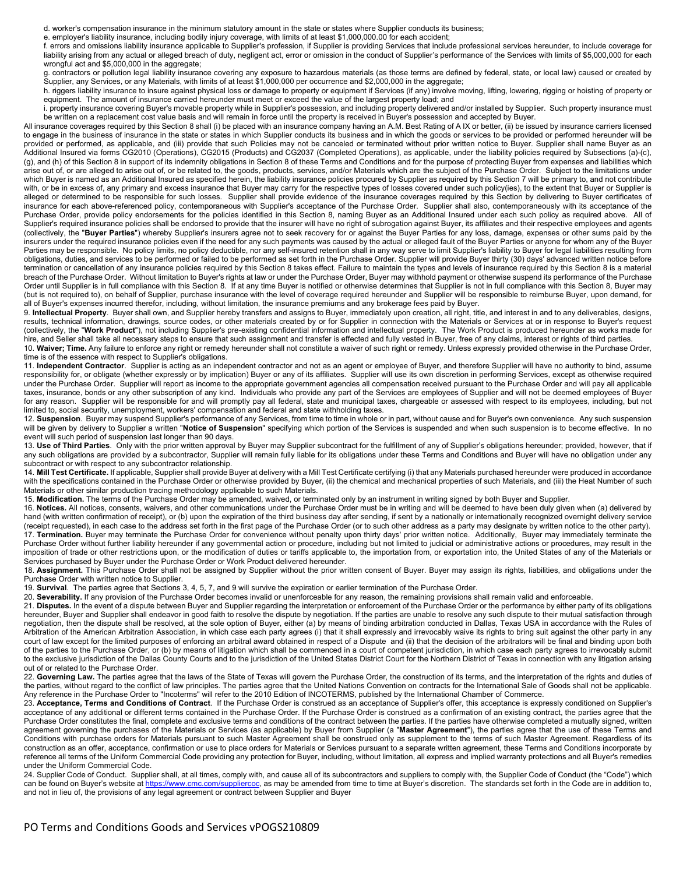d. worker's compensation insurance in the minimum statutory amount in the state or states where Supplier conducts its business;

e. employer's liability insurance, including bodily injury coverage, with limits of at least \$1,000,000.00 for each accident;

f. errors and omissions liability insurance applicable to Supplier's profession, if Supplier is providing Services that include professional services hereunder, to include coverage for liability arising from any actual or alleged breach of duty, negligent act, error or omission in the conduct of Supplier's performance of the Services with limits of \$5,000,000 for each wrongful act and \$5,000,000 in the aggregate;

g. contractors or pollution legal liability insurance covering any exposure to hazardous materials (as those terms are defined by federal, state, or local law) caused or created by Supplier, any Services, or any Materials, with limits of at least \$1,000,000 per occurrence and \$2,000,000 in the aggregate;

h. riggers liability insurance to insure against physical loss or damage to property or equipment if Services (if any) involve moving, lifting, lowering, rigging or hoisting of property or equipment. The amount of insurance carried hereunder must meet or exceed the value of the largest property load; and

i. property insurance covering Buyer's movable property while in Supplier's possession, and including property delivered and/or installed by Supplier. Such property insurance must be written on a replacement cost value basis and will remain in force until the property is received in Buyer's possession and accepted by Buyer.

All insurance coverages required by this Sectio[n 8](#page-0-0) shall (i) be placed with an insurance company having an A.M. Best Rating of A IX or better, (ii) be issued by insurance carriers licensed to engage in the business of insurance in the state or states in which Supplier conducts its business and in which the goods or services to be provided or performed hereunder will be provided or performed, as applicable, and (iii) provide that such Policies may not be canceled or terminated without prior written notice to Buyer. Supplier shall name Buyer as an Additional Insured via forms CG2010 (Operations), CG2015 (Products) and CG2037 (Completed Operations), as applicable, under the liability policies required by Subsections (a)-(c), (g), and (h) of this Sectio[n 8](#page-0-0) in support of its indemnity obligations in Section [8](#page-0-0) of these Terms and Conditions and for the purpose of protecting Buyer from expenses and liabilities which arise out of, or are alleged to arise out of, or be related to, the goods, products, services, and/or Materials which are the subject of the Purchase Order. Subject to the limitations under which Buyer is named as an Additional Insured as specified herein, the liability insurance policies procured by Supplier as required by this Sectio[n 7](#page-0-1) will be primary to, and not contribute with, or be in excess of, any primary and excess insurance that Buyer may carry for the respective types of losses covered under such policy(ies), to the extent that Buyer or Supplier is alleged or determined to be responsible for such losses. Supplier shall provide evidence of the insurance coverages required by this Section by delivering to Buyer certificates of insurance for each above-referenced policy, contemporaneous with Supplier's acceptance of the Purchase Order. Supplier shall also, contemporaneously with its acceptance of the Purchase Order, provide policy endorsements for the policies identified in this Section [8,](#page-0-0) naming Buyer as an Additional Insured under each such policy as required above. All of Supplier's required insurance policies shall be endorsed to provide that the insurer will have no right of subrogation against Buyer, its affiliates and their respective employees and agents (collectively, the "**Buyer Parties**") whereby Supplier's insurers agree not to seek recovery for or against the Buyer Parties for any loss, damage, expenses or other sums paid by the insurers under the required insurance policies even if the need for any such payments was caused by the actual or alleged fault of the Buyer Parties or anyone for whom any of the Buyer Parties may be responsible. No policy limits, no policy deductible, nor any self-insured retention shall in any way serve to limit Supplier's liability to Buyer for legal liabilities resulting from obligations, duties, and services to be performed or failed to be performed as set forth in the Purchase Order. Supplier will provide Buyer thirty (30) days' advanced written notice before termination or cancellation of any insurance policies required by this Sectio[n 8](#page-0-0) takes effect. Failure to maintain the types and levels of insurance required by this Sectio[n 8](#page-0-0) is a material breach of the Purchase Order. Without limitation to Buyer's rights at law or under the Purchase Order, Buyer may withhold payment or otherwise suspend its performance of the Purchase Order until Supplier is in full compliance with this Sectio[n 8.](#page-0-0) If at any time Buyer is notified or otherwise determines that Supplier is not in full compliance with this Sectio[n 8,](#page-0-0) Buyer may (but is not required to), on behalf of Supplier, purchase insurance with the level of coverage required hereunder and Supplier will be responsible to reimburse Buyer, upon demand, for all of Buyer's expenses incurred therefor, including, without limitation, the insurance premiums and any brokerage fees paid by Buyer.

<span id="page-1-0"></span>9. **Intellectual Property**. Buyer shall own, and Supplier hereby transfers and assigns to Buyer, immediately upon creation, all right, title, and interest in and to any deliverables, designs, results, technical information, drawings, source codes, or other materials created by or for Supplier in connection with the Materials or Services at or in response to Buyer's request (collectively, the "**Work Product**"), not including Supplier's pre-existing confidential information and intellectual property. The Work Product is produced hereunder as works made for hire, and Seller shall take all necessary steps to ensure that such assignment and transfer is effected and fully vested in Buyer, free of any claims, interest or rights of third parties.

10. **Waiver; Time.** Any failure to enforce any right or remedy hereunder shall not constitute a waiver of such right or remedy. Unless expressly provided otherwise in the Purchase Order, time is of the essence with respect to Supplier's obligations.

11. **Independent Contractor**. Supplier is acting as an independent contractor and not as an agent or employee of Buyer, and therefore Supplier will have no authority to bind, assume responsibility for, or obligate (whether expressly or by implication) Buyer or any of its affiliates. Supplier will use its own discretion in performing Services, except as otherwise required under the Purchase Order. Supplier will report as income to the appropriate government agencies all compensation received pursuant to the Purchase Order and will pay all applicable taxes, insurance, bonds or any other subscription of any kind. Individuals who provide any part of the Services are employees of Supplier and will not be deemed employees of Buyer for any reason. Supplier will be responsible for and will promptly pay all federal, state and municipal taxes, chargeable or assessed with respect to its employees, including, but not limited to, social security, unemployment, workers' compensation and federal and state withholding taxes.

12. **Suspension**. Buyer may suspend Supplier's performance of any Services, from time to time in whole or in part, without cause and for Buyer's own convenience. Any such suspension will be given by delivery to Supplier a written "**Notice of Suspension**" specifying which portion of the Services is suspended and when such suspension is to become effective. In no event will such period of suspension last longer than 90 days.

13. **Use of Third Parties**. Only with the prior written approval by Buyer may Supplier subcontract for the fulfillment of any of Supplier's obligations hereunder; provided, however, that if any such obligations are provided by a subcontractor, Supplier will remain fully liable for its obligations under these Terms and Conditions and Buyer will have no obligation under any subcontract or with respect to any subcontractor relationship.

14. **Mill Test Certificate.** If applicable, Supplier shall provide Buyer at delivery with a Mill Test Certificate certifying (i) that any Materials purchased hereunder were produced in accordance with the specifications contained in the Purchase Order or otherwise provided by Buyer, (ii) the chemical and mechanical properties of such Materials, and (iii) the Heat Number of such Materials or other similar production tracing methodology applicable to such Materials.

15. **Modification.** The terms of the Purchase Order may be amended, waived, or terminated only by an instrument in writing signed by both Buyer and Supplier.

16. **Notices.** All notices, consents, waivers, and other communications under the Purchase Order must be in writing and will be deemed to have been duly given when (a) delivered by hand (with written confirmation of receipt), or (b) upon the expiration of the third business day after sending, if sent by a nationally or internationally recognized overnight delivery service (receipt requested), in each case to the address set forth in the first page of the Purchase Order (or to such other address as a party may designate by written notice to the other party). 17. **Termination.** Buyer may terminate the Purchase Order for convenience without penalty upon thirty days' prior written notice. Additionally, Buyer may immediately terminate the Purchase Order without further liability hereunder if any governmental action or procedure, including but not limited to judicial or administrative actions or procedures, may result in the imposition of trade or other restrictions upon, or the modification of duties or tariffs applicable to, the importation from, or exportation into, the United States of any of the Materials or Services purchased by Buyer under the Purchase Order or Work Product delivered hereunder.

18. **Assignment.** This Purchase Order shall not be assigned by Supplier without the prior written consent of Buyer. Buyer may assign its rights, liabilities, and obligations under the Purchase Order with written notice to Supplier.

19. **Survival**. The parties agree that Sections [3,](#page-0-2) [4,](#page-0-3) [5,](#page-0-4) [7,](#page-0-5) an[d 9](#page-1-0) will survive the expiration or earlier termination of the Purchase Order.

20. **Severability.** If any provision of the Purchase Order becomes invalid or unenforceable for any reason, the remaining provisions shall remain valid and enforceable.

21. **Disputes.** In the event of a dispute between Buyer and Supplier regarding the interpretation or enforcement of the Purchase Order or the performance by either party of its obligations hereunder, Buyer and Supplier shall endeavor in good faith to resolve the dispute by negotiation. If the parties are unable to resolve any such dispute to their mutual satisfaction through negotiation, then the dispute shall be resolved, at the sole option of Buyer, either (a) by means of binding arbitration conducted in Dallas, Texas USA in accordance with the Rules of Arbitration of the American Arbitration Association, in which case each party agrees (i) that it shall expressly and irrevocably waive its rights to bring suit against the other party in any court of law except for the limited purposes of enforcing an arbitral award obtained in respect of a Dispute and (ii) that the decision of the arbitrators will be final and binding upon both of the parties to the Purchase Order, or (b) by means of litigation which shall be commenced in a court of competent jurisdiction, in which case each party agrees to irrevocably submit to the exclusive jurisdiction of the Dallas County Courts and to the jurisdiction of the United States District Court for the Northern District of Texas in connection with any litigation arising out of or related to the Purchase Order.

22. Governing Law. The parties agree that the laws of the State of Texas will govern the Purchase Order, the construction of its terms, and the interpretation of the rights and duties of the parties, without regard to the conflict of law principles. The parties agree that the United Nations Convention on contracts for the International Sale of Goods shall not be applicable. Any reference in the Purchase Order to "Incoterms" will refer to the 2010 Edition of INCOTERMS, published by the International Chamber of Commerce.

23. **Acceptance, Terms and Conditions of Contract**. If the Purchase Order is construed as an acceptance of Supplier's offer, this acceptance is expressly conditioned on Supplier's acceptance of any additional or different terms contained in the Purchase Order. If the Purchase Order is construed as a confirmation of an existing contract, the parties agree that the Purchase Order constitutes the final, complete and exclusive terms and conditions of the contract between the parties. If the parties have otherwise completed a mutually signed, written agreement governing the purchases of the Materials or Services (as applicable) by Buyer from Supplier (a "**Master Agreement**"), the parties agree that the use of these Terms and Conditions with purchase orders for Materials pursuant to such Master Agreement shall be construed only as supplement to the terms of such Master Agreement. Regardless of its construction as an offer, acceptance, confirmation or use to place orders for Materials or Services pursuant to a separate written agreement, these Terms and Conditions incorporate by reference all terms of the Uniform Commercial Code providing any protection for Buyer, including, without limitation, all express and implied warranty protections and all Buyer's remedies under the Uniform Commercial Code.

24. Supplier Code of Conduct. Supplier shall, at all times, comply with, and cause all of its subcontractors and suppliers to comply with, the Supplier Code of Conduct (the "Code") which can be found on Buyer's website at [https://www.cmc.com/suppliercoc,](https://www.cmc.com/suppliercoc) as may be amended from time to time at Buyer's discretion. The standards set forth in the Code are in addition to, and not in lieu of, the provisions of any legal agreement or contract between Supplier and Buyer